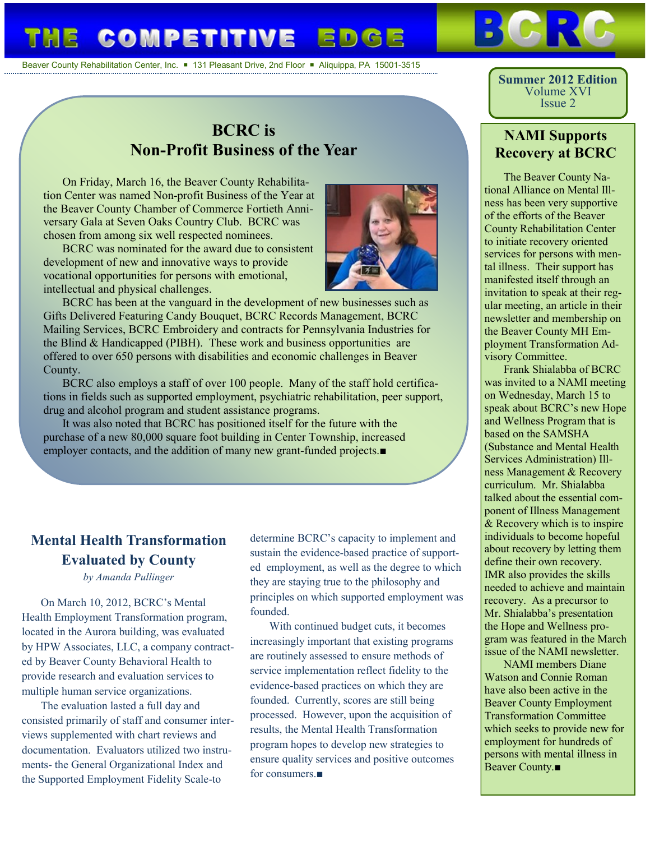### **COMPETITIVE** ED

Beaver County Rehabilitation Center, Inc.  $\blacksquare$  131 Pleasant Drive, 2nd Floor  $\blacksquare$  Aliquippa, PA 15001-3515

# **BCRC is Non-Profit Business of the Year**

On Friday, March 16, the Beaver County Rehabilitation Center was named Non-profit Business of the Year at the Beaver County Chamber of Commerce Fortieth Anniversary Gala at Seven Oaks Country Club. BCRC was chosen from among six well respected nominees.

BCRC was nominated for the award due to consistent development of new and innovative ways to provide vocational opportunities for persons with emotional, intellectual and physical challenges.



BCRC has been at the vanguard in the development of new businesses such as Gifts Delivered Featuring Candy Bouquet, BCRC Records Management, BCRC Mailing Services, BCRC Embroidery and contracts for Pennsylvania Industries for the Blind & Handicapped (PIBH). These work and business opportunities are offered to over 650 persons with disabilities and economic challenges in Beaver County.

BCRC also employs a staff of over 100 people. Many of the staff hold certifications in fields such as supported employment, psychiatric rehabilitation, peer support, drug and alcohol program and student assistance programs.

It was also noted that BCRC has positioned itself for the future with the purchase of a new 80,000 square foot building in Center Township, increased employer contacts, and the addition of many new grant-funded projects.■

## **Mental Health Transformation Evaluated by County**

*by Amanda Pullinger*

On March 10, 2012, BCRC's Mental Health Employment Transformation program, located in the Aurora building, was evaluated by HPW Associates, LLC, a company contracted by Beaver County Behavioral Health to provide research and evaluation services to multiple human service organizations.

The evaluation lasted a full day and consisted primarily of staff and consumer interviews supplemented with chart reviews and documentation. Evaluators utilized two instruments- the General Organizational Index and the Supported Employment Fidelity Scale-to

determine BCRC's capacity to implement and sustain the evidence-based practice of supported employment, as well as the degree to which they are staying true to the philosophy and principles on which supported employment was founded.

With continued budget cuts, it becomes increasingly important that existing programs are routinely assessed to ensure methods of service implementation reflect fidelity to the evidence-based practices on which they are founded. Currently, scores are still being processed. However, upon the acquisition of results, the Mental Health Transformation program hopes to develop new strategies to ensure quality services and positive outcomes for consumers.■

**Summer 2012 Edition** Volume XVI Issue 2

#### **NAMI Supports Recovery at BCRC**

The Beaver County National Alliance on Mental Illness has been very supportive of the efforts of the Beaver County Rehabilitation Center to initiate recovery oriented services for persons with mental illness. Their support has manifested itself through an invitation to speak at their regular meeting, an article in their newsletter and membership on the Beaver County MH Employment Transformation Advisory Committee.

Frank Shialabba of BCRC was invited to a NAMI meeting on Wednesday, March 15 to speak about BCRC's new Hope and Wellness Program that is based on the SAMSHA (Substance and Mental Health Services Administration) Illness Management & Recovery curriculum. Mr. Shialabba talked about the essential component of Illness Management & Recovery which is to inspire individuals to become hopeful about recovery by letting them define their own recovery. IMR also provides the skills needed to achieve and maintain recovery. As a precursor to Mr. Shialabba's presentation the Hope and Wellness program was featured in the March issue of the NAMI newsletter.

NAMI members Diane Watson and Connie Roman have also been active in the Beaver County Employment Transformation Committee which seeks to provide new for employment for hundreds of persons with mental illness in Beaver County.■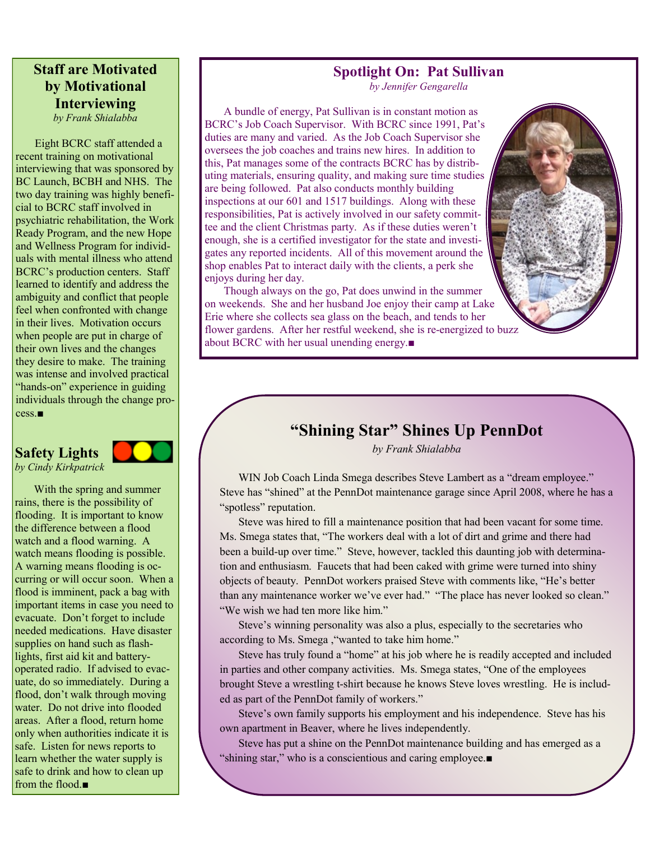## **Staff are Motivated by Motivational Interviewing**

*by Frank Shialabba*

Eight BCRC staff attended a recent training on motivational interviewing that was sponsored by BC Launch, BCBH and NHS. The two day training was highly beneficial to BCRC staff involved in psychiatric rehabilitation, the Work Ready Program, and the new Hope and Wellness Program for individuals with mental illness who attend BCRC's production centers. Staff learned to identify and address the ambiguity and conflict that people feel when confronted with change in their lives. Motivation occurs when people are put in charge of their own lives and the changes they desire to make. The training was intense and involved practical "hands-on" experience in guiding individuals through the change process.■

### **Safety Lights**



*by Cindy Kirkpatrick*

With the spring and summer rains, there is the possibility of flooding. It is important to know the difference between a flood watch and a flood warning. A watch means flooding is possible. A warning means flooding is occurring or will occur soon. When a flood is imminent, pack a bag with important items in case you need to evacuate. Don't forget to include needed medications. Have disaster supplies on hand such as flashlights, first aid kit and batteryoperated radio. If advised to evacuate, do so immediately. During a flood, don't walk through moving water. Do not drive into flooded areas. After a flood, return home only when authorities indicate it is safe. Listen for news reports to learn whether the water supply is safe to drink and how to clean up from the flood.■

#### **Spotlight On: Pat Sullivan**

*by Jennifer Gengarella*

A bundle of energy, Pat Sullivan is in constant motion as BCRC's Job Coach Supervisor. With BCRC since 1991, Pat's duties are many and varied. As the Job Coach Supervisor she oversees the job coaches and trains new hires. In addition to this, Pat manages some of the contracts BCRC has by distributing materials, ensuring quality, and making sure time studies are being followed. Pat also conducts monthly building inspections at our 601 and 1517 buildings. Along with these responsibilities, Pat is actively involved in our safety committee and the client Christmas party. As if these duties weren't enough, she is a certified investigator for the state and investigates any reported incidents. All of this movement around the shop enables Pat to interact daily with the clients, a perk she enjoys during her day.

Though always on the go, Pat does unwind in the summer on weekends. She and her husband Joe enjoy their camp at Lake Erie where she collects sea glass on the beach, and tends to her flower gardens. After her restful weekend, she is re-energized to buzz about BCRC with her usual unending energy.■

## **"Shining Star" Shines Up PennDot**

*by Frank Shialabba*

WIN Job Coach Linda Smega describes Steve Lambert as a "dream employee." Steve has "shined" at the PennDot maintenance garage since April 2008, where he has a "spotless" reputation.

Steve was hired to fill a maintenance position that had been vacant for some time. Ms. Smega states that, "The workers deal with a lot of dirt and grime and there had been a build-up over time." Steve, however, tackled this daunting job with determination and enthusiasm. Faucets that had been caked with grime were turned into shiny objects of beauty. PennDot workers praised Steve with comments like, "He's better than any maintenance worker we've ever had." "The place has never looked so clean." "We wish we had ten more like him."

Steve's winning personality was also a plus, especially to the secretaries who according to Ms. Smega ,"wanted to take him home."

Steve has truly found a "home" at his job where he is readily accepted and included in parties and other company activities. Ms. Smega states, "One of the employees brought Steve a wrestling t-shirt because he knows Steve loves wrestling. He is included as part of the PennDot family of workers."

Steve's own family supports his employment and his independence. Steve has his own apartment in Beaver, where he lives independently.

Steve has put a shine on the PennDot maintenance building and has emerged as a "shining star," who is a conscientious and caring employee.■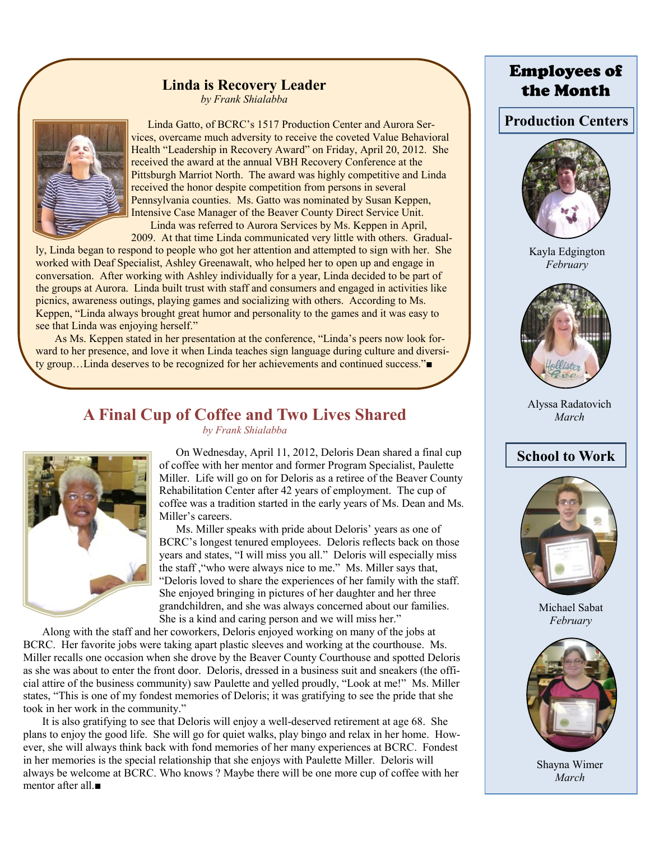# **Linda is Recovery Leader**

*by Frank Shialabba*



 Linda Gatto, of BCRC's 1517 Production Center and Aurora Services, overcame much adversity to receive the coveted Value Behavioral Health "Leadership in Recovery Award" on Friday, April 20, 2012. She received the award at the annual VBH Recovery Conference at the Pittsburgh Marriot North. The award was highly competitive and Linda received the honor despite competition from persons in several Pennsylvania counties. Ms. Gatto was nominated by Susan Keppen, Intensive Case Manager of the Beaver County Direct Service Unit. Linda was referred to Aurora Services by Ms. Keppen in April,

2009. At that time Linda communicated very little with others. Gradual-

ly, Linda began to respond to people who got her attention and attempted to sign with her. She worked with Deaf Specialist, Ashley Greenawalt, who helped her to open up and engage in conversation. After working with Ashley individually for a year, Linda decided to be part of the groups at Aurora. Linda built trust with staff and consumers and engaged in activities like picnics, awareness outings, playing games and socializing with others. According to Ms. Keppen, "Linda always brought great humor and personality to the games and it was easy to see that Linda was enjoying herself."

As Ms. Keppen stated in her presentation at the conference, "Linda's peers now look forward to her presence, and love it when Linda teaches sign language during culture and diversity group…Linda deserves to be recognized for her achievements and continued success."■

#### **A Final Cup of Coffee and Two Lives Shared** *by Frank Shialabba*



 On Wednesday, April 11, 2012, Deloris Dean shared a final cup of coffee with her mentor and former Program Specialist, Paulette Miller. Life will go on for Deloris as a retiree of the Beaver County Rehabilitation Center after 42 years of employment. The cup of coffee was a tradition started in the early years of Ms. Dean and Ms. Miller's careers.

 Ms. Miller speaks with pride about Deloris' years as one of BCRC's longest tenured employees. Deloris reflects back on those years and states, "I will miss you all." Deloris will especially miss the staff ,"who were always nice to me." Ms. Miller says that, "Deloris loved to share the experiences of her family with the staff. She enjoyed bringing in pictures of her daughter and her three grandchildren, and she was always concerned about our families. She is a kind and caring person and we will miss her."

Along with the staff and her coworkers, Deloris enjoyed working on many of the jobs at BCRC. Her favorite jobs were taking apart plastic sleeves and working at the courthouse. Ms. Miller recalls one occasion when she drove by the Beaver County Courthouse and spotted Deloris as she was about to enter the front door. Deloris, dressed in a business suit and sneakers (the official attire of the business community) saw Paulette and yelled proudly, "Look at me!" Ms. Miller states, "This is one of my fondest memories of Deloris; it was gratifying to see the pride that she took in her work in the community."

It is also gratifying to see that Deloris will enjoy a well-deserved retirement at age 68. She plans to enjoy the good life. She will go for quiet walks, play bingo and relax in her home. However, she will always think back with fond memories of her many experiences at BCRC. Fondest in her memories is the special relationship that she enjoys with Paulette Miller. Deloris will always be welcome at BCRC. Who knows ? Maybe there will be one more cup of coffee with her mentor after all ■

## Employees of the Month

**Production Centers**



Kayla Edgington *February*



Alyssa Radatovich *March*

## **School to Work**



Michael Sabat *February*



Shayna Wimer *March*